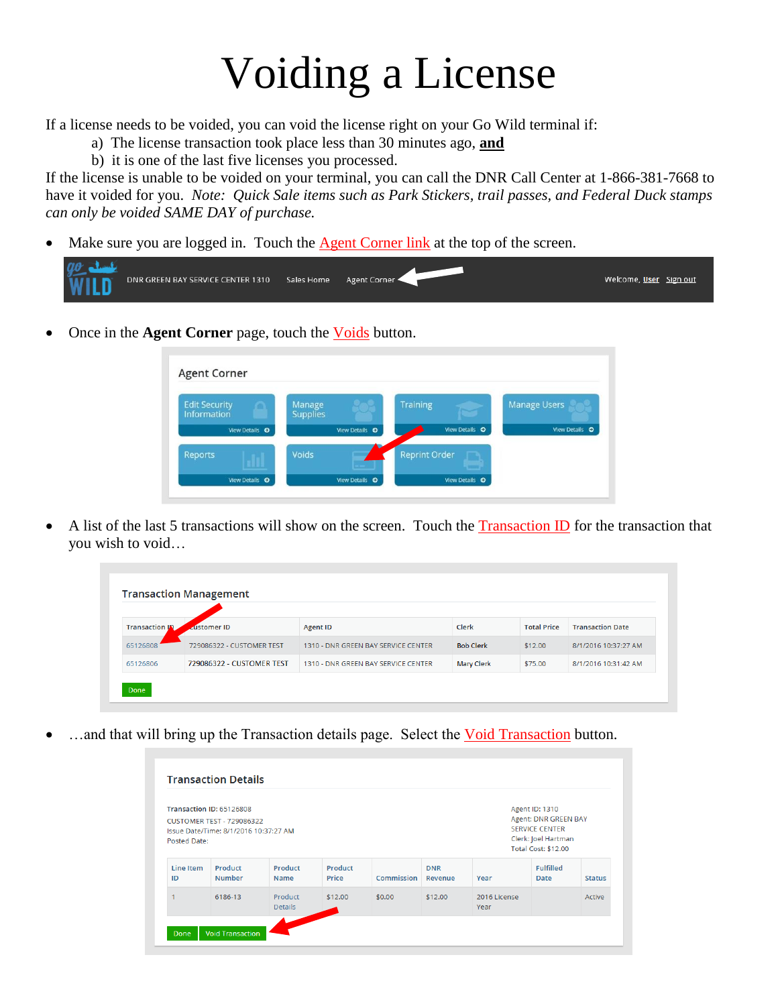## Voiding a License

If a license needs to be voided, you can void the license right on your Go Wild terminal if:

- a) The license transaction took place less than 30 minutes ago, **and**
- b) it is one of the last five licenses you processed.

If the license is unable to be voided on your terminal, you can call the DNR Call Center at 1-866-381-7668 to have it voided for you. *Note: Quick Sale items such as Park Stickers, trail passes, and Federal Duck stamps can only be voided SAME DAY of purchase.*

Make sure you are logged in. Touch the Agent Corner link at the top of the screen.

| Welcome, User Sign out<br>DNR GREEN BAY SERVICE CENTER 1310<br>Sales Home<br><b>WILD</b><br>Agent Corner |
|----------------------------------------------------------------------------------------------------------|
|----------------------------------------------------------------------------------------------------------|

Once in the **Agent Corner** page, touch the Voids button.

|                | <b>Supplies</b> |                | <b>Manage Users</b> |
|----------------|-----------------|----------------|---------------------|
| View Details O | View Details O  | View Details O | View Details ©      |

A list of the last 5 transactions will show on the screen. Touch the Transaction ID for the transaction that you wish to void…

| <b>Transaction IN</b> | <b>Lustomer ID</b>        | <b>Agent ID</b>                     | Clerk             | <b>Total Price</b> | <b>Transaction Date</b> |
|-----------------------|---------------------------|-------------------------------------|-------------------|--------------------|-------------------------|
| 65126808              | 729086322 - CUSTOMER TEST | 1310 - DNR GREEN BAY SERVICE CENTER | <b>Bob Clerk</b>  | \$12.00            | 8/1/2016 10:37:27 AM    |
| 65126806              | 729086322 - CUSTOMER TEST | 1310 - DNR GREEN BAY SERVICE CENTER | <b>Mary Clerk</b> | \$75.00            | 8/1/2016 10:31:42 AM    |

...and that will bring up the Transaction details page. Select the Void Transaction button.

| Transaction ID: 65126808<br><b>CUSTOMER TEST - 729086322</b><br>Issue Date/Time: 8/1/2016 10:37:27 AM<br><b>Posted Date:</b> |                          |                           |                  |            |                       |                      | Agent ID: 1310<br>Agent: DNR GREEN BAY<br><b>SERVICE CENTER</b><br>Clerk: Joel Hartman<br><b>Total Cost: \$12.00</b> |               |
|------------------------------------------------------------------------------------------------------------------------------|--------------------------|---------------------------|------------------|------------|-----------------------|----------------------|----------------------------------------------------------------------------------------------------------------------|---------------|
| Line Item<br>ID                                                                                                              | Product<br><b>Number</b> | Product<br>Name           | Product<br>Price | Commission | <b>DNR</b><br>Revenue | Year                 | <b>Fulfilled</b><br>Date                                                                                             | <b>Status</b> |
|                                                                                                                              | 6186-13                  | Product<br><b>Details</b> | \$12.00          | \$0.00     | \$12.00               | 2016 License<br>Year |                                                                                                                      | Active        |